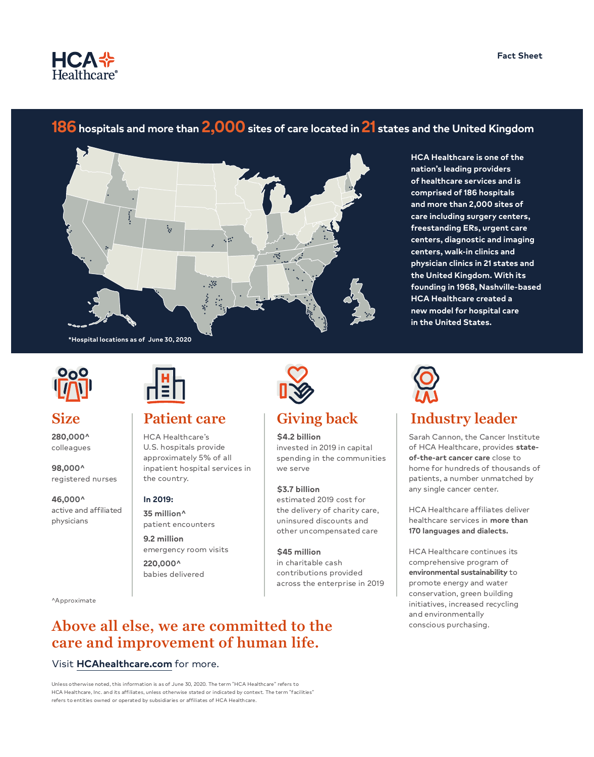

# **186hospitals and more than 2,000sites of care located in 21 states and the United Kingdom**



**HCA Healthcare is one of the nation's leading providers of healthcare services and is comprised of 186 hospitals and more than 2,000 sites of care including surgery centers, freestanding ERs, urgent care centers, diagnostic and imaging centers, walk-in clinics and physician clinics in 21 states and the United Kingdom. With its founding in 1968, Nashville-based HCA Healthcare created a new model for hospital care in the United States.**

\*Hospital locations as of June 30, 2020 **\*Hospital locations as of June 30, 2020**



**280,000^** colleagues

**98,000^** registered nurses

**46,000^** active and affiliated physicians



HCA Healthcare's U.S. hospitals provide approximately 5% of all inpatient hospital services in the country.

### **In 2019:**

**35 million^** patient encounters

**9.2 million** emergency room visits **220,000^** babies delivered

^Approximate

## **Above all else, we are committed to the care and improvement of human life.**

## Visit **[HCAhealthcare.com](https://hcahealthcare.com/)** for more.

Unless otherwise noted, this information is as of June 30, 2020. The term "HCA Healthcare" refers to HCA Healthcare, Inc. and its affiliates, unless otherwise stated or indicated by context. The term "facilities" refers to entities owned or operated by subsidiaries or affiliates of HCA Healthcare.



**\$4.2 billion** invested in 2019 in capital spending in the communities we serve

**\$3.7 billion**

estimated 2019 cost for the delivery of charity care, uninsured discounts and other uncompensated care

**\$45 million** in charitable cash contributions provided across the enterprise in 2019



## **Size Patient care Giving back Industry leader**

Sarah Cannon, the Cancer Institute of HCA Healthcare, provides **stateof-the-art cancer care** close to home for hundreds of thousands of patients, a number unmatched by any single cancer center.

HCA Healthcare affiliates deliver healthcare services in **more than 170 languages and dialects.**

HCA Healthcare continues its comprehensive program of **environmental sustainability** to promote energy and water conservation, green building initiatives, increased recycling and environmentally conscious purchasing.